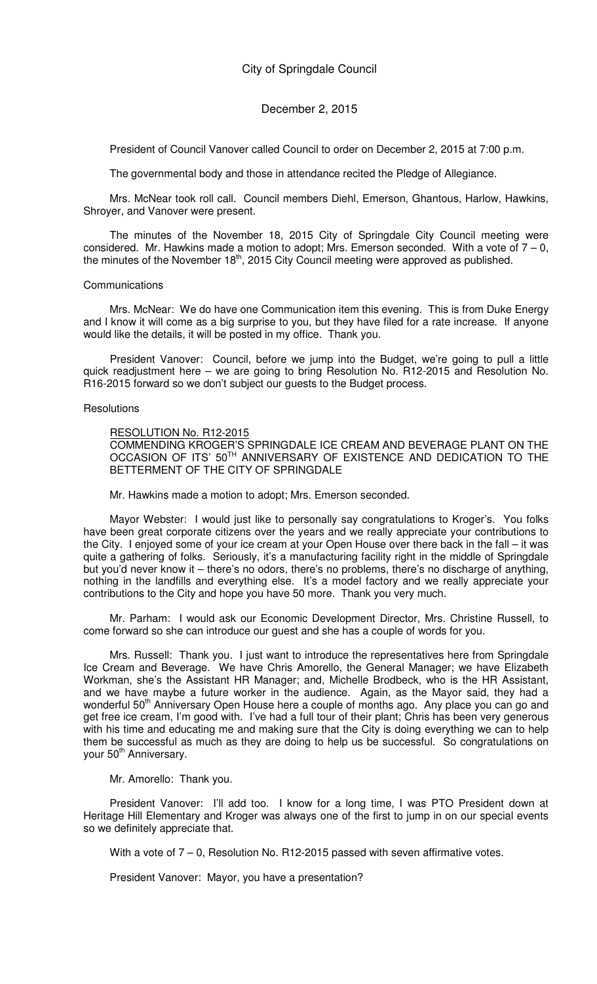President of Council Vanover called Council to order on December 2, 2015 at 7:00 p.m.

The governmental body and those in attendance recited the Pledge of Allegiance.

Mrs. McNear took roll call. Council members Diehl, Emerson, Ghantous, Harlow, Hawkins, Shroyer, and Vanover were present.

The minutes of the November 18, 2015 City of Springdale City Council meeting were considered. Mr. Hawkins made a motion to adopt; Mrs. Emerson seconded. With a vote of  $7 - 0$ , the minutes of the November 18<sup>th</sup>, 2015 City Council meeting were approved as published.

#### **Communications**

Mrs. McNear: We do have one Communication item this evening. This is from Duke Energy and I know it will come as a big surprise to you, but they have filed for a rate increase. If anyone would like the details, it will be posted in my office. Thank you.

President Vanover: Council, before we jump into the Budget, we're going to pull a little quick readjustment here – we are going to bring Resolution No. R12-2015 and Resolution No. R16-2015 forward so we don't subject our guests to the Budget process.

#### **Resolutions**

#### RESOLUTION No. R12-2015

COMMENDING KROGER'S SPRINGDALE ICE CREAM AND BEVERAGE PLANT ON THE OCCASION OF ITS' 50<sup>TH</sup> ANNIVERSARY OF EXISTENCE AND DEDICATION TO THE BETTERMENT OF THE CITY OF SPRINGDALE

Mr. Hawkins made a motion to adopt; Mrs. Emerson seconded.

Mayor Webster: I would just like to personally say congratulations to Kroger's. You folks have been great corporate citizens over the years and we really appreciate your contributions to the City. I enjoyed some of your ice cream at your Open House over there back in the fall – it was quite a gathering of folks. Seriously, it's a manufacturing facility right in the middle of Springdale but you'd never know it – there's no odors, there's no problems, there's no discharge of anything, nothing in the landfills and everything else. It's a model factory and we really appreciate your contributions to the City and hope you have 50 more. Thank you very much.

Mr. Parham: I would ask our Economic Development Director, Mrs. Christine Russell, to come forward so she can introduce our guest and she has a couple of words for you.

Mrs. Russell: Thank you. I just want to introduce the representatives here from Springdale Ice Cream and Beverage. We have Chris Amorello, the General Manager; we have Elizabeth Workman, she's the Assistant HR Manager; and, Michelle Brodbeck, who is the HR Assistant, and we have maybe a future worker in the audience. Again, as the Mayor said, they had a wonderful 50<sup>th</sup> Anniversary Open House here a couple of months ago. Any place you can go and get free ice cream, I'm good with. I've had a full tour of their plant; Chris has been very generous with his time and educating me and making sure that the City is doing everything we can to help them be successful as much as they are doing to help us be successful. So congratulations on your 50<sup>th</sup> Anniversary.

#### Mr. Amorello: Thank you.

President Vanover: I'll add too. I know for a long time, I was PTO President down at Heritage Hill Elementary and Kroger was always one of the first to jump in on our special events so we definitely appreciate that.

With a vote of  $7 - 0$ , Resolution No. R12-2015 passed with seven affirmative votes.

President Vanover: Mayor, you have a presentation?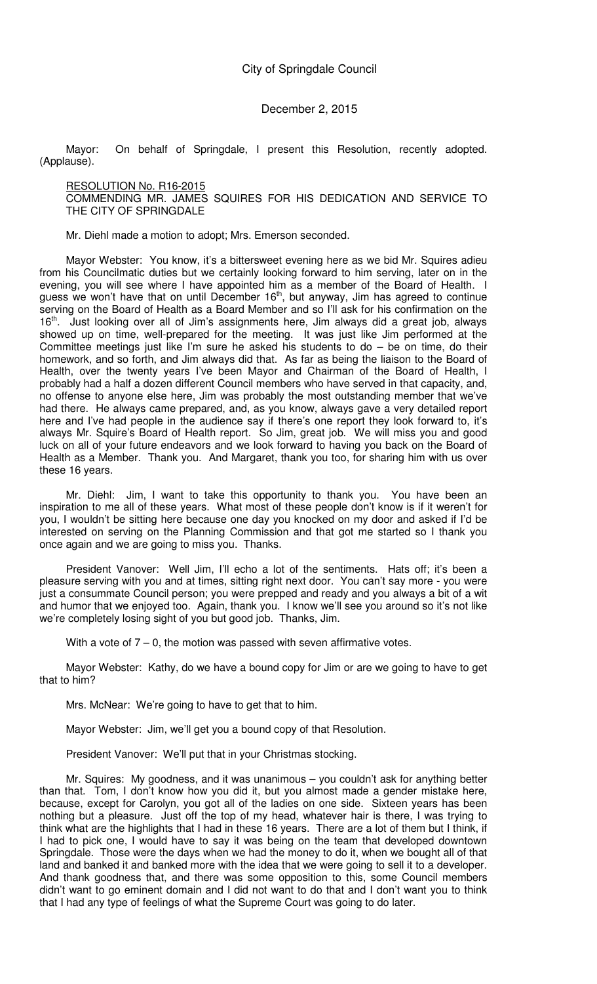Mayor: On behalf of Springdale, I present this Resolution, recently adopted. (Applause).

## RESOLUTION No. R16-2015

COMMENDING MR. JAMES SQUIRES FOR HIS DEDICATION AND SERVICE TO THE CITY OF SPRINGDALE

Mr. Diehl made a motion to adopt; Mrs. Emerson seconded.

Mayor Webster: You know, it's a bittersweet evening here as we bid Mr. Squires adieu from his Councilmatic duties but we certainly looking forward to him serving, later on in the evening, you will see where I have appointed him as a member of the Board of Health. I guess we won't have that on until December  $16<sup>th</sup>$ , but anyway, Jim has agreed to continue serving on the Board of Health as a Board Member and so I'll ask for his confirmation on the 16<sup>th</sup>. Just looking over all of Jim's assignments here, Jim always did a great job, always showed up on time, well-prepared for the meeting. It was just like Jim performed at the Committee meetings just like I'm sure he asked his students to do – be on time, do their homework, and so forth, and Jim always did that. As far as being the liaison to the Board of Health, over the twenty years I've been Mayor and Chairman of the Board of Health, I probably had a half a dozen different Council members who have served in that capacity, and, no offense to anyone else here, Jim was probably the most outstanding member that we've had there. He always came prepared, and, as you know, always gave a very detailed report here and I've had people in the audience say if there's one report they look forward to, it's always Mr. Squire's Board of Health report. So Jim, great job. We will miss you and good luck on all of your future endeavors and we look forward to having you back on the Board of Health as a Member. Thank you. And Margaret, thank you too, for sharing him with us over these 16 years.

Mr. Diehl: Jim, I want to take this opportunity to thank you. You have been an inspiration to me all of these years. What most of these people don't know is if it weren't for you, I wouldn't be sitting here because one day you knocked on my door and asked if I'd be interested on serving on the Planning Commission and that got me started so I thank you once again and we are going to miss you. Thanks.

President Vanover: Well Jim, I'll echo a lot of the sentiments. Hats off; it's been a pleasure serving with you and at times, sitting right next door. You can't say more - you were just a consummate Council person; you were prepped and ready and you always a bit of a wit and humor that we enjoyed too. Again, thank you. I know we'll see you around so it's not like we're completely losing sight of you but good job. Thanks, Jim.

With a vote of  $7 - 0$ , the motion was passed with seven affirmative votes.

Mayor Webster: Kathy, do we have a bound copy for Jim or are we going to have to get that to him?

Mrs. McNear: We're going to have to get that to him.

Mayor Webster: Jim, we'll get you a bound copy of that Resolution.

President Vanover: We'll put that in your Christmas stocking.

Mr. Squires: My goodness, and it was unanimous – you couldn't ask for anything better than that. Tom, I don't know how you did it, but you almost made a gender mistake here, because, except for Carolyn, you got all of the ladies on one side. Sixteen years has been nothing but a pleasure. Just off the top of my head, whatever hair is there, I was trying to think what are the highlights that I had in these 16 years. There are a lot of them but I think, if I had to pick one, I would have to say it was being on the team that developed downtown Springdale. Those were the days when we had the money to do it, when we bought all of that land and banked it and banked more with the idea that we were going to sell it to a developer. And thank goodness that, and there was some opposition to this, some Council members didn't want to go eminent domain and I did not want to do that and I don't want you to think that I had any type of feelings of what the Supreme Court was going to do later.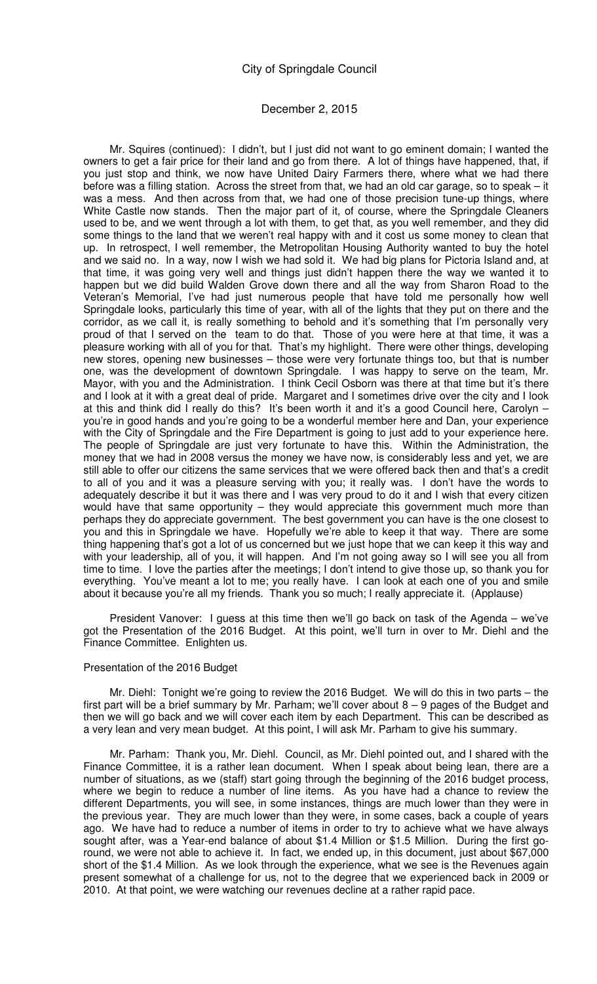### December 2, 2015

Mr. Squires (continued): I didn't, but I just did not want to go eminent domain; I wanted the owners to get a fair price for their land and go from there. A lot of things have happened, that, if you just stop and think, we now have United Dairy Farmers there, where what we had there before was a filling station. Across the street from that, we had an old car garage, so to speak – it was a mess. And then across from that, we had one of those precision tune-up things, where White Castle now stands. Then the major part of it, of course, where the Springdale Cleaners used to be, and we went through a lot with them, to get that, as you well remember, and they did some things to the land that we weren't real happy with and it cost us some money to clean that up. In retrospect, I well remember, the Metropolitan Housing Authority wanted to buy the hotel and we said no. In a way, now I wish we had sold it. We had big plans for Pictoria Island and, at that time, it was going very well and things just didn't happen there the way we wanted it to happen but we did build Walden Grove down there and all the way from Sharon Road to the Veteran's Memorial, I've had just numerous people that have told me personally how well Springdale looks, particularly this time of year, with all of the lights that they put on there and the corridor, as we call it, is really something to behold and it's something that I'm personally very proud of that I served on the team to do that. Those of you were here at that time, it was a pleasure working with all of you for that. That's my highlight. There were other things, developing new stores, opening new businesses – those were very fortunate things too, but that is number one, was the development of downtown Springdale. I was happy to serve on the team, Mr. Mayor, with you and the Administration. I think Cecil Osborn was there at that time but it's there and I look at it with a great deal of pride. Margaret and I sometimes drive over the city and I look at this and think did I really do this? It's been worth it and it's a good Council here, Carolyn – you're in good hands and you're going to be a wonderful member here and Dan, your experience with the City of Springdale and the Fire Department is going to just add to your experience here. The people of Springdale are just very fortunate to have this. Within the Administration, the money that we had in 2008 versus the money we have now, is considerably less and yet, we are still able to offer our citizens the same services that we were offered back then and that's a credit to all of you and it was a pleasure serving with you; it really was. I don't have the words to adequately describe it but it was there and I was very proud to do it and I wish that every citizen would have that same opportunity – they would appreciate this government much more than perhaps they do appreciate government. The best government you can have is the one closest to you and this in Springdale we have. Hopefully we're able to keep it that way. There are some thing happening that's got a lot of us concerned but we just hope that we can keep it this way and with your leadership, all of you, it will happen. And I'm not going away so I will see you all from time to time. I love the parties after the meetings; I don't intend to give those up, so thank you for everything. You've meant a lot to me; you really have. I can look at each one of you and smile about it because you're all my friends. Thank you so much; I really appreciate it. (Applause)

President Vanover: I guess at this time then we'll go back on task of the Agenda – we've got the Presentation of the 2016 Budget. At this point, we'll turn in over to Mr. Diehl and the Finance Committee. Enlighten us.

#### Presentation of the 2016 Budget

Mr. Diehl: Tonight we're going to review the 2016 Budget. We will do this in two parts – the first part will be a brief summary by Mr. Parham; we'll cover about 8 – 9 pages of the Budget and then we will go back and we will cover each item by each Department. This can be described as a very lean and very mean budget. At this point, I will ask Mr. Parham to give his summary.

Mr. Parham: Thank you, Mr. Diehl. Council, as Mr. Diehl pointed out, and I shared with the Finance Committee, it is a rather lean document. When I speak about being lean, there are a number of situations, as we (staff) start going through the beginning of the 2016 budget process, where we begin to reduce a number of line items. As you have had a chance to review the different Departments, you will see, in some instances, things are much lower than they were in the previous year. They are much lower than they were, in some cases, back a couple of years ago. We have had to reduce a number of items in order to try to achieve what we have always sought after, was a Year-end balance of about \$1.4 Million or \$1.5 Million. During the first goround, we were not able to achieve it. In fact, we ended up, in this document, just about \$67,000 short of the \$1.4 Million. As we look through the experience, what we see is the Revenues again present somewhat of a challenge for us, not to the degree that we experienced back in 2009 or 2010. At that point, we were watching our revenues decline at a rather rapid pace.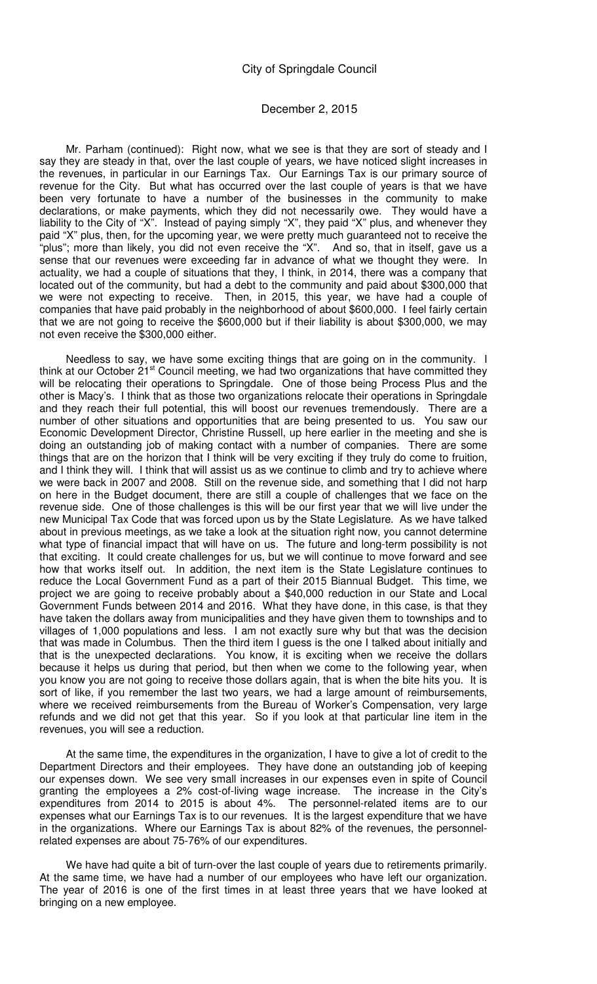### December 2, 2015

Mr. Parham (continued): Right now, what we see is that they are sort of steady and I say they are steady in that, over the last couple of years, we have noticed slight increases in the revenues, in particular in our Earnings Tax. Our Earnings Tax is our primary source of revenue for the City. But what has occurred over the last couple of years is that we have been very fortunate to have a number of the businesses in the community to make declarations, or make payments, which they did not necessarily owe. They would have a liability to the City of "X". Instead of paying simply "X", they paid "X" plus, and whenever they paid "X" plus, then, for the upcoming year, we were pretty much guaranteed not to receive the "plus"; more than likely, you did not even receive the "X". And so, that in itself, gave us a sense that our revenues were exceeding far in advance of what we thought they were. In actuality, we had a couple of situations that they, I think, in 2014, there was a company that located out of the community, but had a debt to the community and paid about \$300,000 that we were not expecting to receive. Then, in 2015, this year, we have had a couple of companies that have paid probably in the neighborhood of about \$600,000. I feel fairly certain that we are not going to receive the \$600,000 but if their liability is about \$300,000, we may not even receive the \$300,000 either.

Needless to say, we have some exciting things that are going on in the community. I think at our October  $21<sup>st</sup>$  Council meeting, we had two organizations that have committed they will be relocating their operations to Springdale. One of those being Process Plus and the other is Macy's. I think that as those two organizations relocate their operations in Springdale and they reach their full potential, this will boost our revenues tremendously. There are a number of other situations and opportunities that are being presented to us. You saw our Economic Development Director, Christine Russell, up here earlier in the meeting and she is doing an outstanding job of making contact with a number of companies. There are some things that are on the horizon that I think will be very exciting if they truly do come to fruition, and I think they will. I think that will assist us as we continue to climb and try to achieve where we were back in 2007 and 2008. Still on the revenue side, and something that I did not harp on here in the Budget document, there are still a couple of challenges that we face on the revenue side. One of those challenges is this will be our first year that we will live under the new Municipal Tax Code that was forced upon us by the State Legislature. As we have talked about in previous meetings, as we take a look at the situation right now, you cannot determine what type of financial impact that will have on us. The future and long-term possibility is not that exciting. It could create challenges for us, but we will continue to move forward and see how that works itself out. In addition, the next item is the State Legislature continues to reduce the Local Government Fund as a part of their 2015 Biannual Budget. This time, we project we are going to receive probably about a \$40,000 reduction in our State and Local Government Funds between 2014 and 2016. What they have done, in this case, is that they have taken the dollars away from municipalities and they have given them to townships and to villages of 1,000 populations and less. I am not exactly sure why but that was the decision that was made in Columbus. Then the third item I guess is the one I talked about initially and that is the unexpected declarations. You know, it is exciting when we receive the dollars because it helps us during that period, but then when we come to the following year, when you know you are not going to receive those dollars again, that is when the bite hits you. It is sort of like, if you remember the last two years, we had a large amount of reimbursements, where we received reimbursements from the Bureau of Worker's Compensation, very large refunds and we did not get that this year. So if you look at that particular line item in the revenues, you will see a reduction.

At the same time, the expenditures in the organization, I have to give a lot of credit to the Department Directors and their employees. They have done an outstanding job of keeping our expenses down. We see very small increases in our expenses even in spite of Council granting the employees a 2% cost-of-living wage increase. The increase in the City's expenditures from 2014 to 2015 is about 4%. The personnel-related items are to our expenses what our Earnings Tax is to our revenues. It is the largest expenditure that we have in the organizations. Where our Earnings Tax is about 82% of the revenues, the personnelrelated expenses are about 75-76% of our expenditures.

We have had quite a bit of turn-over the last couple of years due to retirements primarily. At the same time, we have had a number of our employees who have left our organization. The year of 2016 is one of the first times in at least three years that we have looked at bringing on a new employee.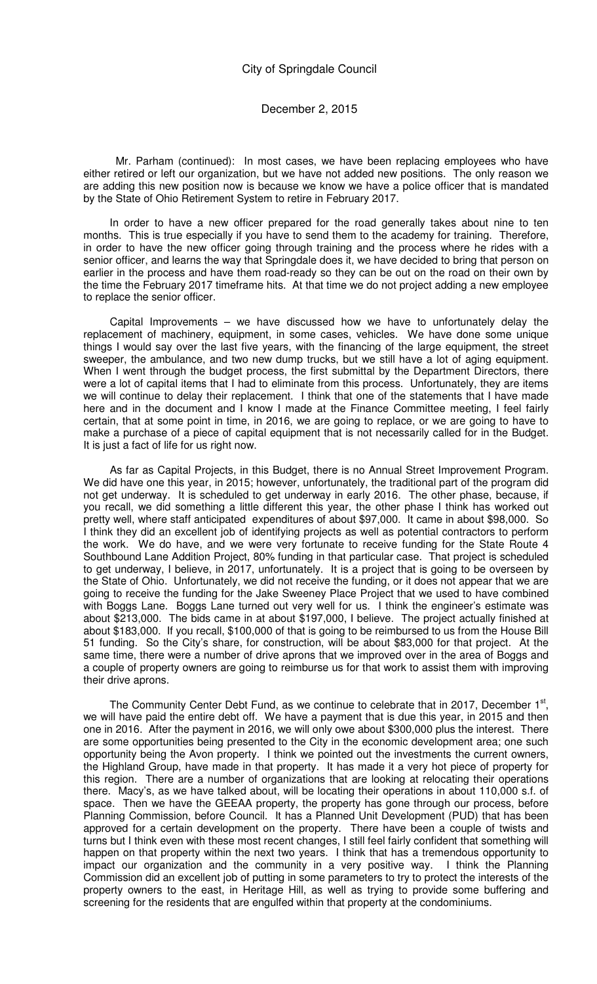Mr. Parham (continued): In most cases, we have been replacing employees who have either retired or left our organization, but we have not added new positions. The only reason we are adding this new position now is because we know we have a police officer that is mandated by the State of Ohio Retirement System to retire in February 2017.

In order to have a new officer prepared for the road generally takes about nine to ten months. This is true especially if you have to send them to the academy for training. Therefore, in order to have the new officer going through training and the process where he rides with a senior officer, and learns the way that Springdale does it, we have decided to bring that person on earlier in the process and have them road-ready so they can be out on the road on their own by the time the February 2017 timeframe hits. At that time we do not project adding a new employee to replace the senior officer.

Capital Improvements – we have discussed how we have to unfortunately delay the replacement of machinery, equipment, in some cases, vehicles. We have done some unique things I would say over the last five years, with the financing of the large equipment, the street sweeper, the ambulance, and two new dump trucks, but we still have a lot of aging equipment. When I went through the budget process, the first submittal by the Department Directors, there were a lot of capital items that I had to eliminate from this process. Unfortunately, they are items we will continue to delay their replacement. I think that one of the statements that I have made here and in the document and I know I made at the Finance Committee meeting, I feel fairly certain, that at some point in time, in 2016, we are going to replace, or we are going to have to make a purchase of a piece of capital equipment that is not necessarily called for in the Budget. It is just a fact of life for us right now.

As far as Capital Projects, in this Budget, there is no Annual Street Improvement Program. We did have one this year, in 2015; however, unfortunately, the traditional part of the program did not get underway. It is scheduled to get underway in early 2016. The other phase, because, if you recall, we did something a little different this year, the other phase I think has worked out pretty well, where staff anticipated expenditures of about \$97,000. It came in about \$98,000. So I think they did an excellent job of identifying projects as well as potential contractors to perform the work. We do have, and we were very fortunate to receive funding for the State Route 4 Southbound Lane Addition Project, 80% funding in that particular case. That project is scheduled to get underway, I believe, in 2017, unfortunately. It is a project that is going to be overseen by the State of Ohio. Unfortunately, we did not receive the funding, or it does not appear that we are going to receive the funding for the Jake Sweeney Place Project that we used to have combined with Boggs Lane. Boggs Lane turned out very well for us. I think the engineer's estimate was about \$213,000. The bids came in at about \$197,000, I believe. The project actually finished at about \$183,000. If you recall, \$100,000 of that is going to be reimbursed to us from the House Bill 51 funding. So the City's share, for construction, will be about \$83,000 for that project. At the same time, there were a number of drive aprons that we improved over in the area of Boggs and a couple of property owners are going to reimburse us for that work to assist them with improving their drive aprons.

The Community Center Debt Fund, as we continue to celebrate that in 2017, December 1<sup>st</sup>, we will have paid the entire debt off. We have a payment that is due this year, in 2015 and then one in 2016. After the payment in 2016, we will only owe about \$300,000 plus the interest. There are some opportunities being presented to the City in the economic development area; one such opportunity being the Avon property. I think we pointed out the investments the current owners, the Highland Group, have made in that property. It has made it a very hot piece of property for this region. There are a number of organizations that are looking at relocating their operations there. Macy's, as we have talked about, will be locating their operations in about 110,000 s.f. of space. Then we have the GEEAA property, the property has gone through our process, before Planning Commission, before Council. It has a Planned Unit Development (PUD) that has been approved for a certain development on the property. There have been a couple of twists and turns but I think even with these most recent changes, I still feel fairly confident that something will happen on that property within the next two years. I think that has a tremendous opportunity to impact our organization and the community in a very positive way. I think the Planning Commission did an excellent job of putting in some parameters to try to protect the interests of the property owners to the east, in Heritage Hill, as well as trying to provide some buffering and screening for the residents that are engulfed within that property at the condominiums.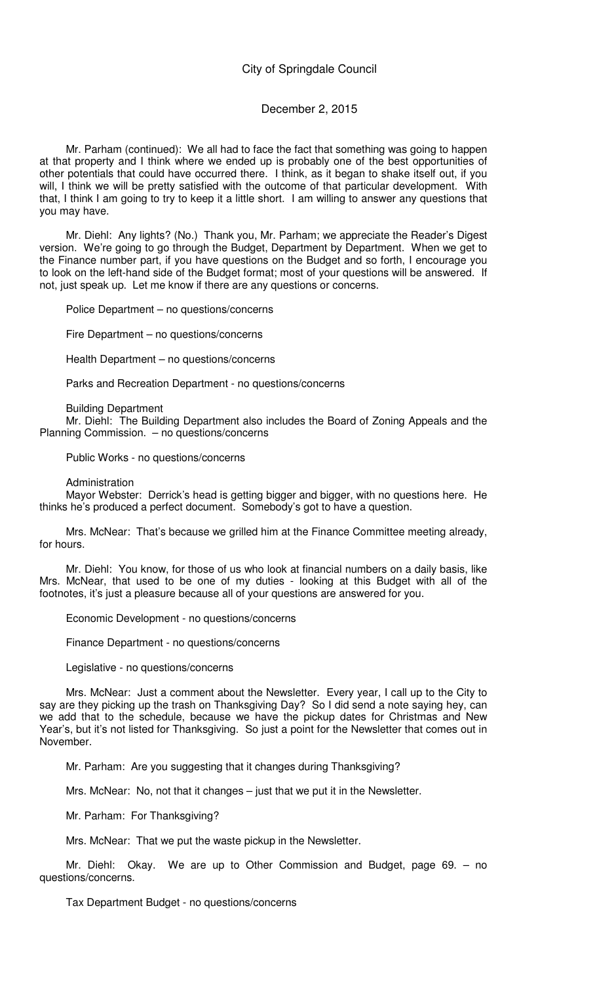## December 2, 2015

Mr. Parham (continued): We all had to face the fact that something was going to happen at that property and I think where we ended up is probably one of the best opportunities of other potentials that could have occurred there. I think, as it began to shake itself out, if you will, I think we will be pretty satisfied with the outcome of that particular development. With that, I think I am going to try to keep it a little short. I am willing to answer any questions that you may have.

Mr. Diehl: Any lights? (No.) Thank you, Mr. Parham; we appreciate the Reader's Digest version. We're going to go through the Budget, Department by Department. When we get to the Finance number part, if you have questions on the Budget and so forth, I encourage you to look on the left-hand side of the Budget format; most of your questions will be answered. If not, just speak up. Let me know if there are any questions or concerns.

Police Department – no questions/concerns

Fire Department – no questions/concerns

Health Department – no questions/concerns

Parks and Recreation Department - no questions/concerns

Building Department

Mr. Diehl: The Building Department also includes the Board of Zoning Appeals and the Planning Commission. – no questions/concerns

Public Works - no questions/concerns

Administration

Mayor Webster: Derrick's head is getting bigger and bigger, with no questions here. He thinks he's produced a perfect document. Somebody's got to have a question.

Mrs. McNear: That's because we grilled him at the Finance Committee meeting already, for hours.

Mr. Diehl: You know, for those of us who look at financial numbers on a daily basis, like Mrs. McNear, that used to be one of my duties - looking at this Budget with all of the footnotes, it's just a pleasure because all of your questions are answered for you.

Economic Development - no questions/concerns

Finance Department - no questions/concerns

Legislative - no questions/concerns

Mrs. McNear: Just a comment about the Newsletter. Every year, I call up to the City to say are they picking up the trash on Thanksgiving Day? So I did send a note saying hey, can we add that to the schedule, because we have the pickup dates for Christmas and New Year's, but it's not listed for Thanksgiving. So just a point for the Newsletter that comes out in November.

Mr. Parham: Are you suggesting that it changes during Thanksgiving?

Mrs. McNear: No, not that it changes – just that we put it in the Newsletter.

Mr. Parham: For Thanksgiving?

Mrs. McNear: That we put the waste pickup in the Newsletter.

Mr. Diehl: Okay. We are up to Other Commission and Budget, page 69. – no questions/concerns.

Tax Department Budget - no questions/concerns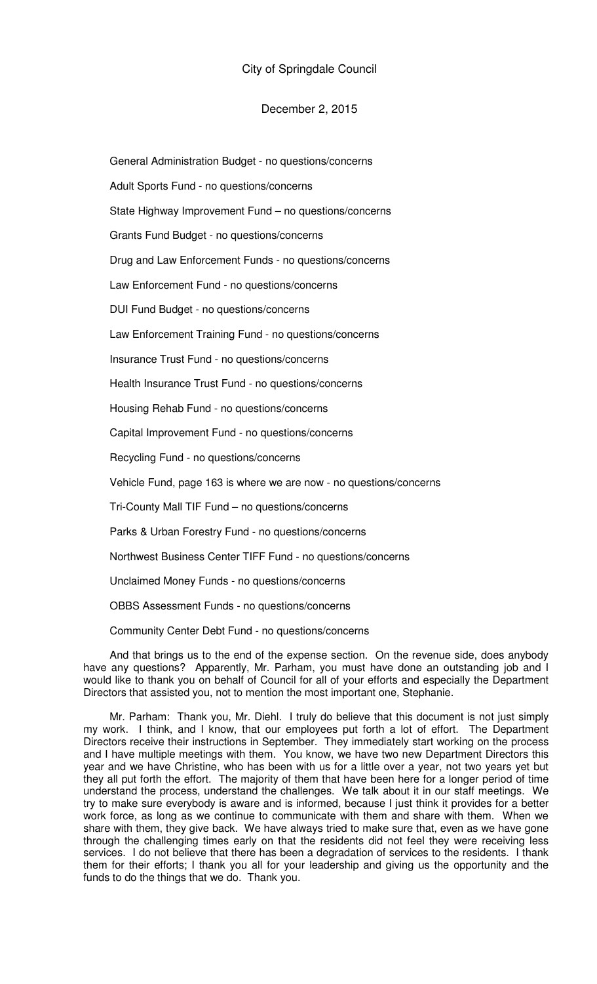## December 2, 2015

General Administration Budget - no questions/concerns Adult Sports Fund - no questions/concerns State Highway Improvement Fund – no questions/concerns Grants Fund Budget - no questions/concerns Drug and Law Enforcement Funds - no questions/concerns Law Enforcement Fund - no questions/concerns DUI Fund Budget - no questions/concerns Law Enforcement Training Fund - no questions/concerns Insurance Trust Fund - no questions/concerns Health Insurance Trust Fund - no questions/concerns Housing Rehab Fund - no questions/concerns Capital Improvement Fund - no questions/concerns Recycling Fund - no questions/concerns Vehicle Fund, page 163 is where we are now - no questions/concerns Tri-County Mall TIF Fund – no questions/concerns Parks & Urban Forestry Fund - no questions/concerns Northwest Business Center TIFF Fund - no questions/concerns Unclaimed Money Funds - no questions/concerns

OBBS Assessment Funds - no questions/concerns

Community Center Debt Fund - no questions/concerns

And that brings us to the end of the expense section. On the revenue side, does anybody have any questions? Apparently, Mr. Parham, you must have done an outstanding job and I would like to thank you on behalf of Council for all of your efforts and especially the Department Directors that assisted you, not to mention the most important one, Stephanie.

Mr. Parham: Thank you, Mr. Diehl. I truly do believe that this document is not just simply my work. I think, and I know, that our employees put forth a lot of effort. The Department Directors receive their instructions in September. They immediately start working on the process and I have multiple meetings with them. You know, we have two new Department Directors this year and we have Christine, who has been with us for a little over a year, not two years yet but they all put forth the effort. The majority of them that have been here for a longer period of time understand the process, understand the challenges. We talk about it in our staff meetings. We try to make sure everybody is aware and is informed, because I just think it provides for a better work force, as long as we continue to communicate with them and share with them. When we share with them, they give back. We have always tried to make sure that, even as we have gone through the challenging times early on that the residents did not feel they were receiving less services. I do not believe that there has been a degradation of services to the residents. I thank them for their efforts; I thank you all for your leadership and giving us the opportunity and the funds to do the things that we do. Thank you.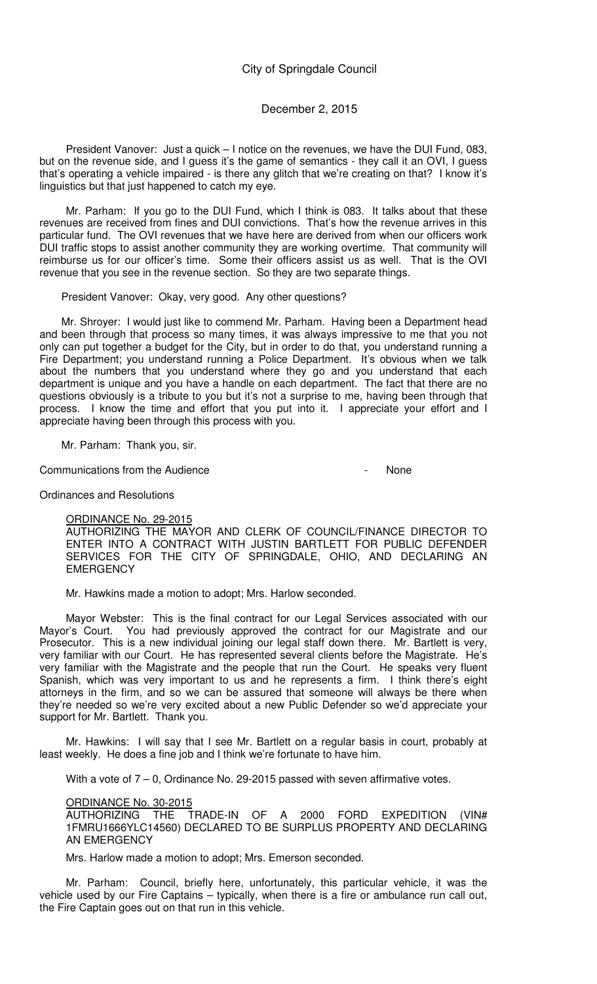## December 2, 2015

President Vanover: Just a quick – I notice on the revenues, we have the DUI Fund, 083, but on the revenue side, and I guess it's the game of semantics - they call it an OVI, I guess that's operating a vehicle impaired - is there any glitch that we're creating on that? I know it's linguistics but that just happened to catch my eye.

Mr. Parham: If you go to the DUI Fund, which I think is 083. It talks about that these revenues are received from fines and DUI convictions. That's how the revenue arrives in this particular fund. The OVI revenues that we have here are derived from when our officers work DUI traffic stops to assist another community they are working overtime. That community will reimburse us for our officer's time. Some their officers assist us as well. That is the OVI revenue that you see in the revenue section. So they are two separate things.

President Vanover: Okay, very good. Any other questions?

Mr. Shroyer: I would just like to commend Mr. Parham. Having been a Department head and been through that process so many times, it was always impressive to me that you not only can put together a budget for the City, but in order to do that, you understand running a Fire Department; you understand running a Police Department. It's obvious when we talk about the numbers that you understand where they go and you understand that each department is unique and you have a handle on each department. The fact that there are no questions obviously is a tribute to you but it's not a surprise to me, having been through that process. I know the time and effort that you put into it. I appreciate your effort and I appreciate having been through this process with you.

Mr. Parham: Thank you, sir.

Communications from the Audience - None

Ordinances and Resolutions

### ORDINANCE No. 29-2015

AUTHORIZING THE MAYOR AND CLERK OF COUNCIL/FINANCE DIRECTOR TO ENTER INTO A CONTRACT WITH JUSTIN BARTLETT FOR PUBLIC DEFENDER SERVICES FOR THE CITY OF SPRINGDALE, OHIO, AND DECLARING AN **EMERGENCY** 

Mr. Hawkins made a motion to adopt; Mrs. Harlow seconded.

Mayor Webster: This is the final contract for our Legal Services associated with our Mayor's Court. You had previously approved the contract for our Magistrate and our Prosecutor. This is a new individual joining our legal staff down there. Mr. Bartlett is very, very familiar with our Court. He has represented several clients before the Magistrate. He's very familiar with the Magistrate and the people that run the Court. He speaks very fluent Spanish, which was very important to us and he represents a firm. I think there's eight attorneys in the firm, and so we can be assured that someone will always be there when they're needed so we're very excited about a new Public Defender so we'd appreciate your support for Mr. Bartlett. Thank you.

Mr. Hawkins: I will say that I see Mr. Bartlett on a regular basis in court, probably at least weekly. He does a fine job and I think we're fortunate to have him.

With a vote of  $7 - 0$ , Ordinance No. 29-2015 passed with seven affirmative votes.

### ORDINANCE No. 30-2015

AUTHORIZING THE TRADE-IN OF A 2000 FORD EXPEDITION (VIN# 1FMRU1666YLC14560) DECLARED TO BE SURPLUS PROPERTY AND DECLARING AN EMERGENCY

Mrs. Harlow made a motion to adopt; Mrs. Emerson seconded.

Mr. Parham: Council, briefly here, unfortunately, this particular vehicle, it was the vehicle used by our Fire Captains – typically, when there is a fire or ambulance run call out, the Fire Captain goes out on that run in this vehicle.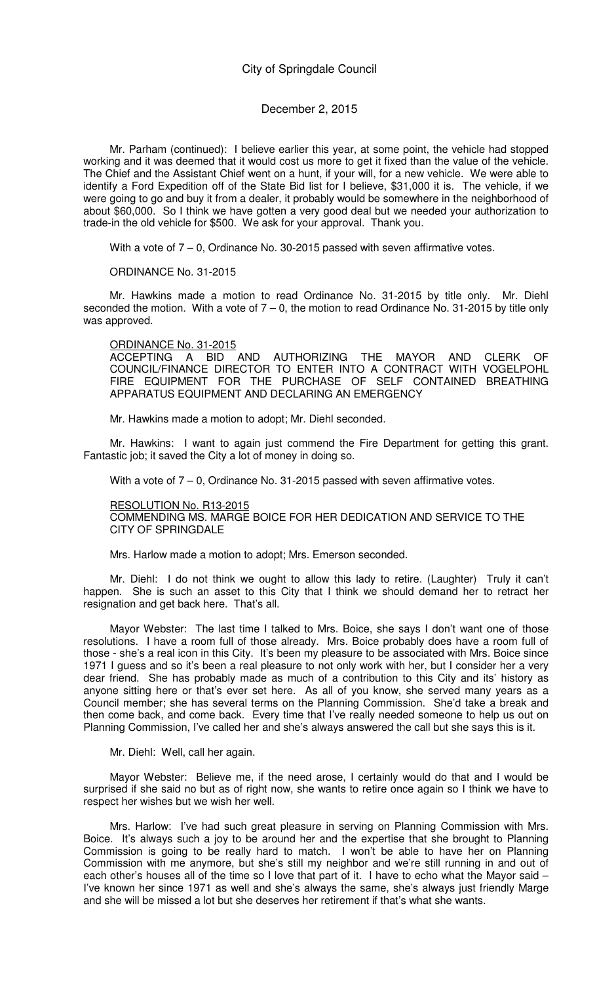## December 2, 2015

Mr. Parham (continued): I believe earlier this year, at some point, the vehicle had stopped working and it was deemed that it would cost us more to get it fixed than the value of the vehicle. The Chief and the Assistant Chief went on a hunt, if your will, for a new vehicle. We were able to identify a Ford Expedition off of the State Bid list for I believe, \$31,000 it is. The vehicle, if we were going to go and buy it from a dealer, it probably would be somewhere in the neighborhood of about \$60,000. So I think we have gotten a very good deal but we needed your authorization to trade-in the old vehicle for \$500. We ask for your approval. Thank you.

With a vote of  $7 - 0$ , Ordinance No. 30-2015 passed with seven affirmative votes.

ORDINANCE No. 31-2015

Mr. Hawkins made a motion to read Ordinance No. 31-2015 by title only. Mr. Diehl seconded the motion. With a vote of  $7 - 0$ , the motion to read Ordinance No. 31-2015 by title only was approved.

### ORDINANCE No. 31-2015

ACCEPTING A BID AND AUTHORIZING THE MAYOR AND CLERK OF COUNCIL/FINANCE DIRECTOR TO ENTER INTO A CONTRACT WITH VOGELPOHL FIRE EQUIPMENT FOR THE PURCHASE OF SELF CONTAINED BREATHING APPARATUS EQUIPMENT AND DECLARING AN EMERGENCY

Mr. Hawkins made a motion to adopt; Mr. Diehl seconded.

Mr. Hawkins: I want to again just commend the Fire Department for getting this grant. Fantastic job; it saved the City a lot of money in doing so.

With a vote of  $7 - 0$ , Ordinance No. 31-2015 passed with seven affirmative votes.

#### RESOLUTION No. R13-2015

COMMENDING MS. MARGE BOICE FOR HER DEDICATION AND SERVICE TO THE CITY OF SPRINGDALE

Mrs. Harlow made a motion to adopt; Mrs. Emerson seconded.

Mr. Diehl: I do not think we ought to allow this lady to retire. (Laughter) Truly it can't happen. She is such an asset to this City that I think we should demand her to retract her resignation and get back here. That's all.

Mayor Webster: The last time I talked to Mrs. Boice, she says I don't want one of those resolutions. I have a room full of those already. Mrs. Boice probably does have a room full of those - she's a real icon in this City. It's been my pleasure to be associated with Mrs. Boice since 1971 I guess and so it's been a real pleasure to not only work with her, but I consider her a very dear friend. She has probably made as much of a contribution to this City and its' history as anyone sitting here or that's ever set here. As all of you know, she served many years as a Council member; she has several terms on the Planning Commission. She'd take a break and then come back, and come back. Every time that I've really needed someone to help us out on Planning Commission, I've called her and she's always answered the call but she says this is it.

Mr. Diehl: Well, call her again.

Mayor Webster: Believe me, if the need arose, I certainly would do that and I would be surprised if she said no but as of right now, she wants to retire once again so I think we have to respect her wishes but we wish her well.

Mrs. Harlow: I've had such great pleasure in serving on Planning Commission with Mrs. Boice. It's always such a joy to be around her and the expertise that she brought to Planning Commission is going to be really hard to match. I won't be able to have her on Planning Commission with me anymore, but she's still my neighbor and we're still running in and out of each other's houses all of the time so I love that part of it. I have to echo what the Mayor said – I've known her since 1971 as well and she's always the same, she's always just friendly Marge and she will be missed a lot but she deserves her retirement if that's what she wants.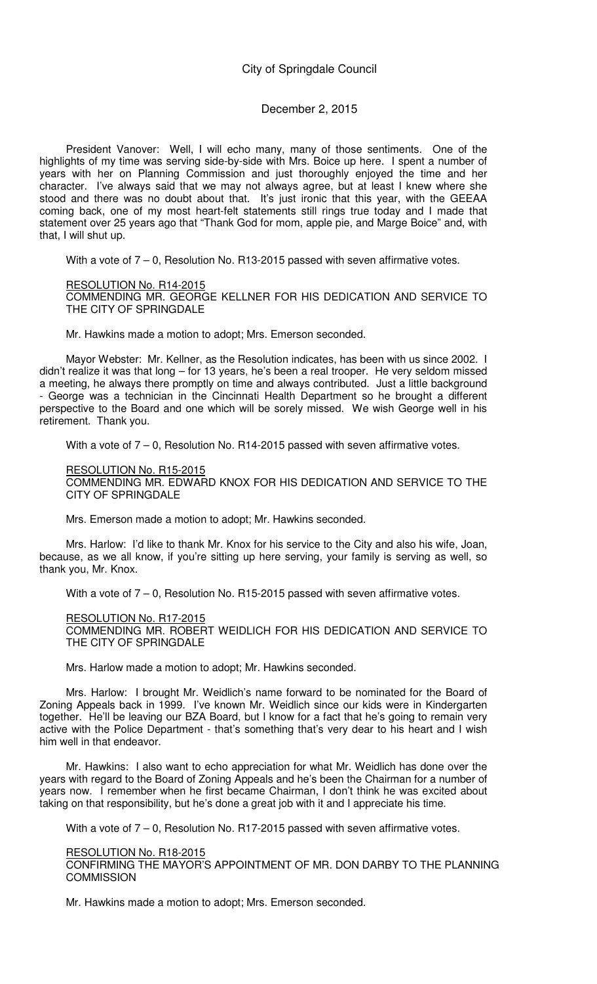## December 2, 2015

President Vanover: Well, I will echo many, many of those sentiments. One of the highlights of my time was serving side-by-side with Mrs. Boice up here. I spent a number of years with her on Planning Commission and just thoroughly enjoyed the time and her character. I've always said that we may not always agree, but at least I knew where she stood and there was no doubt about that. It's just ironic that this year, with the GEEAA coming back, one of my most heart-felt statements still rings true today and I made that statement over 25 years ago that "Thank God for mom, apple pie, and Marge Boice" and, with that, I will shut up.

With a vote of 7 – 0, Resolution No. R13-2015 passed with seven affirmative votes.

RESOLUTION No. R14-2015 COMMENDING MR. GEORGE KELLNER FOR HIS DEDICATION AND SERVICE TO THE CITY OF SPRINGDALE

Mr. Hawkins made a motion to adopt; Mrs. Emerson seconded.

Mayor Webster: Mr. Kellner, as the Resolution indicates, has been with us since 2002. I didn't realize it was that long – for 13 years, he's been a real trooper. He very seldom missed a meeting, he always there promptly on time and always contributed. Just a little background - George was a technician in the Cincinnati Health Department so he brought a different perspective to the Board and one which will be sorely missed. We wish George well in his retirement. Thank you.

With a vote of  $7 - 0$ , Resolution No. R14-2015 passed with seven affirmative votes.

RESOLUTION No. R15-2015 COMMENDING MR. EDWARD KNOX FOR HIS DEDICATION AND SERVICE TO THE CITY OF SPRINGDALE

Mrs. Emerson made a motion to adopt; Mr. Hawkins seconded.

Mrs. Harlow: I'd like to thank Mr. Knox for his service to the City and also his wife, Joan, because, as we all know, if you're sitting up here serving, your family is serving as well, so thank you, Mr. Knox.

With a vote of  $7 - 0$ , Resolution No. R15-2015 passed with seven affirmative votes.

### RESOLUTION No. R17-2015

COMMENDING MR. ROBERT WEIDLICH FOR HIS DEDICATION AND SERVICE TO THE CITY OF SPRINGDALE

Mrs. Harlow made a motion to adopt; Mr. Hawkins seconded.

Mrs. Harlow: I brought Mr. Weidlich's name forward to be nominated for the Board of Zoning Appeals back in 1999. I've known Mr. Weidlich since our kids were in Kindergarten together. He'll be leaving our BZA Board, but I know for a fact that he's going to remain very active with the Police Department - that's something that's very dear to his heart and I wish him well in that endeavor.

Mr. Hawkins: I also want to echo appreciation for what Mr. Weidlich has done over the years with regard to the Board of Zoning Appeals and he's been the Chairman for a number of years now. I remember when he first became Chairman, I don't think he was excited about taking on that responsibility, but he's done a great job with it and I appreciate his time.

With a vote of 7 – 0, Resolution No. R17-2015 passed with seven affirmative votes.

#### RESOLUTION No. R18-2015

CONFIRMING THE MAYOR'S APPOINTMENT OF MR. DON DARBY TO THE PLANNING **COMMISSION** 

Mr. Hawkins made a motion to adopt; Mrs. Emerson seconded.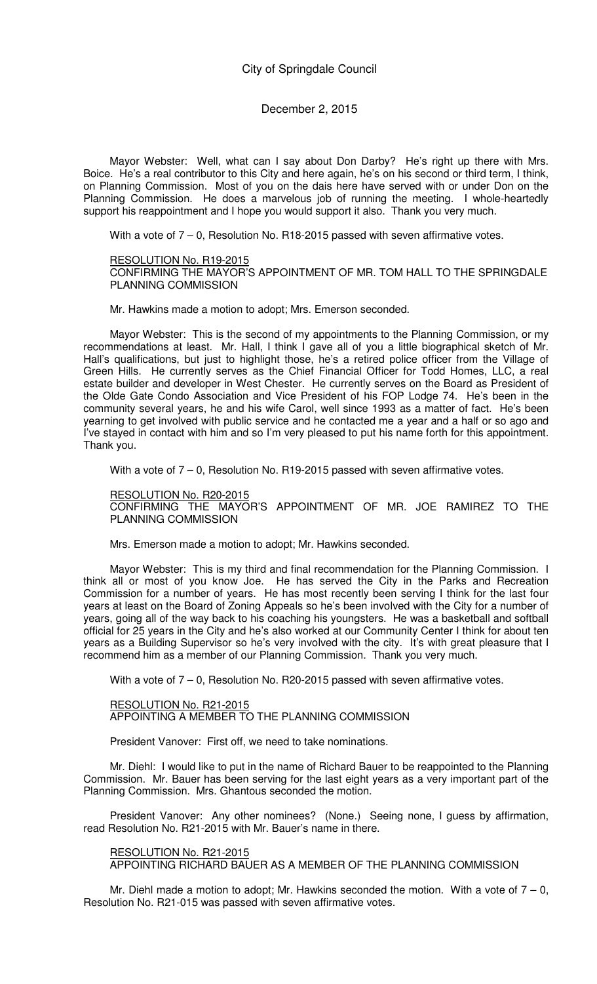Mayor Webster: Well, what can I say about Don Darby? He's right up there with Mrs. Boice. He's a real contributor to this City and here again, he's on his second or third term, I think, on Planning Commission. Most of you on the dais here have served with or under Don on the Planning Commission. He does a marvelous job of running the meeting. I whole-heartedly support his reappointment and I hope you would support it also. Thank you very much.

With a vote of  $7 - 0$ , Resolution No. R18-2015 passed with seven affirmative votes.

#### RESOLUTION No. R19-2015

CONFIRMING THE MAYOR'S APPOINTMENT OF MR. TOM HALL TO THE SPRINGDALE PLANNING COMMISSION

Mr. Hawkins made a motion to adopt; Mrs. Emerson seconded.

Mayor Webster: This is the second of my appointments to the Planning Commission, or my recommendations at least. Mr. Hall, I think I gave all of you a little biographical sketch of Mr. Hall's qualifications, but just to highlight those, he's a retired police officer from the Village of Green Hills. He currently serves as the Chief Financial Officer for Todd Homes, LLC, a real estate builder and developer in West Chester. He currently serves on the Board as President of the Olde Gate Condo Association and Vice President of his FOP Lodge 74. He's been in the community several years, he and his wife Carol, well since 1993 as a matter of fact. He's been yearning to get involved with public service and he contacted me a year and a half or so ago and I've stayed in contact with him and so I'm very pleased to put his name forth for this appointment. Thank you.

With a vote of  $7 - 0$ , Resolution No. R19-2015 passed with seven affirmative votes.

#### RESOLUTION No. R20-2015

CONFIRMING THE MAYOR'S APPOINTMENT OF MR. JOE RAMIREZ TO THE PLANNING COMMISSION

Mrs. Emerson made a motion to adopt; Mr. Hawkins seconded.

Mayor Webster: This is my third and final recommendation for the Planning Commission. I think all or most of you know Joe. He has served the City in the Parks and Recreation Commission for a number of years. He has most recently been serving I think for the last four years at least on the Board of Zoning Appeals so he's been involved with the City for a number of years, going all of the way back to his coaching his youngsters. He was a basketball and softball official for 25 years in the City and he's also worked at our Community Center I think for about ten years as a Building Supervisor so he's very involved with the city. It's with great pleasure that I recommend him as a member of our Planning Commission. Thank you very much.

With a vote of  $7 - 0$ , Resolution No. R20-2015 passed with seven affirmative votes.

### RESOLUTION No. R21-2015 APPOINTING A MEMBER TO THE PLANNING COMMISSION

President Vanover: First off, we need to take nominations.

Mr. Diehl: I would like to put in the name of Richard Bauer to be reappointed to the Planning Commission. Mr. Bauer has been serving for the last eight years as a very important part of the Planning Commission. Mrs. Ghantous seconded the motion.

President Vanover: Any other nominees? (None.) Seeing none, I guess by affirmation, read Resolution No. R21-2015 with Mr. Bauer's name in there.

### RESOLUTION No. R21-2015

APPOINTING RICHARD BAUER AS A MEMBER OF THE PLANNING COMMISSION

Mr. Diehl made a motion to adopt; Mr. Hawkins seconded the motion. With a vote of  $7 - 0$ , Resolution No. R21-015 was passed with seven affirmative votes.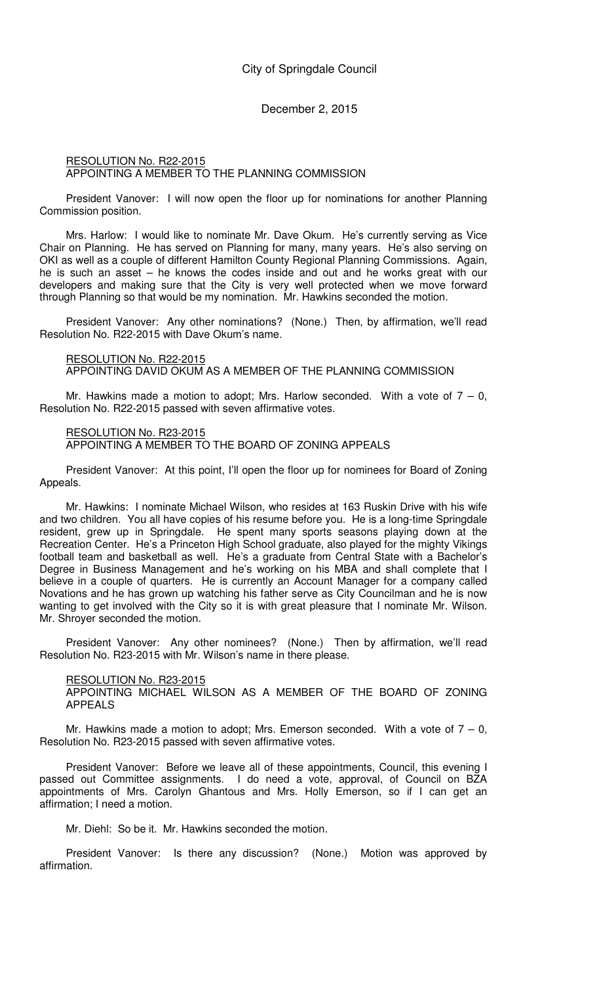### RESOLUTION No. R22-2015 APPOINTING A MEMBER TO THE PLANNING COMMISSION

President Vanover: I will now open the floor up for nominations for another Planning Commission position.

Mrs. Harlow: I would like to nominate Mr. Dave Okum. He's currently serving as Vice Chair on Planning. He has served on Planning for many, many years. He's also serving on OKI as well as a couple of different Hamilton County Regional Planning Commissions. Again, he is such an asset – he knows the codes inside and out and he works great with our developers and making sure that the City is very well protected when we move forward through Planning so that would be my nomination. Mr. Hawkins seconded the motion.

President Vanover: Any other nominations? (None.) Then, by affirmation, we'll read Resolution No. R22-2015 with Dave Okum's name.

#### RESOLUTION No. R22-2015

APPOINTING DAVID OKUM AS A MEMBER OF THE PLANNING COMMISSION

Mr. Hawkins made a motion to adopt; Mrs. Harlow seconded. With a vote of  $7 - 0$ , Resolution No. R22-2015 passed with seven affirmative votes.

#### RESOLUTION No. R23-2015

APPOINTING A MEMBER TO THE BOARD OF ZONING APPEALS

President Vanover: At this point, I'll open the floor up for nominees for Board of Zoning Appeals.

Mr. Hawkins: I nominate Michael Wilson, who resides at 163 Ruskin Drive with his wife and two children. You all have copies of his resume before you. He is a long-time Springdale resident, grew up in Springdale. He spent many sports seasons playing down at the Recreation Center. He's a Princeton High School graduate, also played for the mighty Vikings football team and basketball as well. He's a graduate from Central State with a Bachelor's Degree in Business Management and he's working on his MBA and shall complete that I believe in a couple of quarters. He is currently an Account Manager for a company called Novations and he has grown up watching his father serve as City Councilman and he is now wanting to get involved with the City so it is with great pleasure that I nominate Mr. Wilson. Mr. Shroyer seconded the motion.

President Vanover: Any other nominees? (None.) Then by affirmation, we'll read Resolution No. R23-2015 with Mr. Wilson's name in there please.

### RESOLUTION No. R23-2015

APPOINTING MICHAEL WILSON AS A MEMBER OF THE BOARD OF ZONING APPEALS

Mr. Hawkins made a motion to adopt; Mrs. Emerson seconded. With a vote of  $7 - 0$ , Resolution No. R23-2015 passed with seven affirmative votes.

President Vanover: Before we leave all of these appointments, Council, this evening I passed out Committee assignments. I do need a vote, approval, of Council on BZA appointments of Mrs. Carolyn Ghantous and Mrs. Holly Emerson, so if I can get an affirmation; I need a motion.

Mr. Diehl: So be it. Mr. Hawkins seconded the motion.

President Vanover: Is there any discussion? (None.) Motion was approved by affirmation.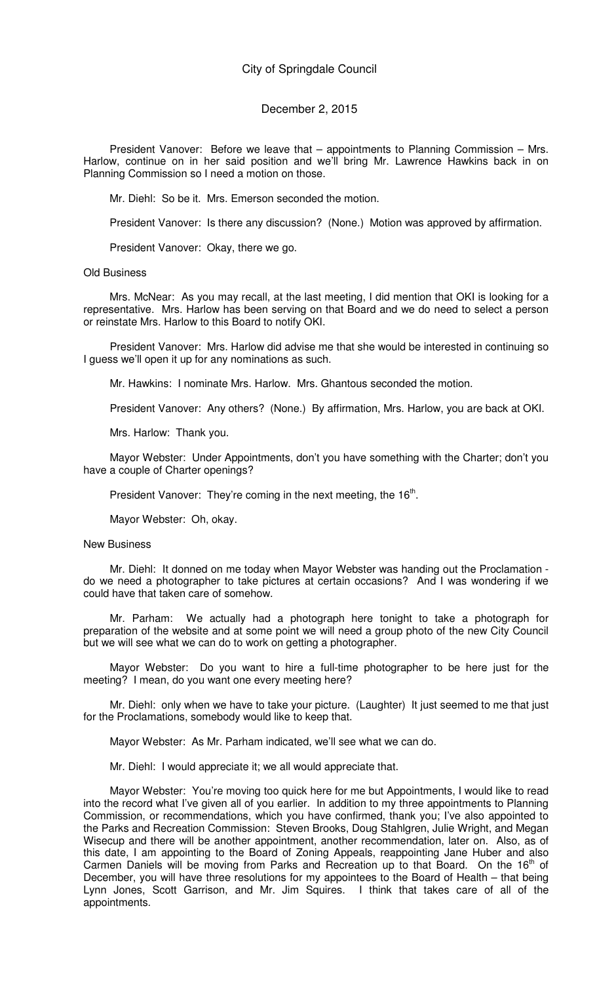#### December 2, 2015

President Vanover: Before we leave that – appointments to Planning Commission – Mrs. Harlow, continue on in her said position and we'll bring Mr. Lawrence Hawkins back in on Planning Commission so I need a motion on those.

Mr. Diehl: So be it. Mrs. Emerson seconded the motion.

President Vanover: Is there any discussion? (None.) Motion was approved by affirmation.

President Vanover: Okay, there we go.

#### Old Business

Mrs. McNear: As you may recall, at the last meeting, I did mention that OKI is looking for a representative. Mrs. Harlow has been serving on that Board and we do need to select a person or reinstate Mrs. Harlow to this Board to notify OKI.

President Vanover: Mrs. Harlow did advise me that she would be interested in continuing so I guess we'll open it up for any nominations as such.

Mr. Hawkins: I nominate Mrs. Harlow. Mrs. Ghantous seconded the motion.

President Vanover: Any others? (None.) By affirmation, Mrs. Harlow, you are back at OKI.

Mrs. Harlow: Thank you.

Mayor Webster: Under Appointments, don't you have something with the Charter; don't you have a couple of Charter openings?

President Vanover: They're coming in the next meeting, the  $16<sup>th</sup>$ .

Mayor Webster: Oh, okay.

#### New Business

Mr. Diehl: It donned on me today when Mayor Webster was handing out the Proclamation do we need a photographer to take pictures at certain occasions? And I was wondering if we could have that taken care of somehow.

Mr. Parham: We actually had a photograph here tonight to take a photograph for preparation of the website and at some point we will need a group photo of the new City Council but we will see what we can do to work on getting a photographer.

Mayor Webster: Do you want to hire a full-time photographer to be here just for the meeting? I mean, do you want one every meeting here?

Mr. Diehl: only when we have to take your picture. (Laughter) It just seemed to me that just for the Proclamations, somebody would like to keep that.

Mayor Webster: As Mr. Parham indicated, we'll see what we can do.

Mr. Diehl: I would appreciate it; we all would appreciate that.

Mayor Webster: You're moving too quick here for me but Appointments, I would like to read into the record what I've given all of you earlier. In addition to my three appointments to Planning Commission, or recommendations, which you have confirmed, thank you; I've also appointed to the Parks and Recreation Commission: Steven Brooks, Doug Stahlgren, Julie Wright, and Megan Wisecup and there will be another appointment, another recommendation, later on. Also, as of this date, I am appointing to the Board of Zoning Appeals, reappointing Jane Huber and also Carmen Daniels will be moving from Parks and Recreation up to that Board. On the  $16<sup>th</sup>$  of December, you will have three resolutions for my appointees to the Board of Health – that being Lynn Jones, Scott Garrison, and Mr. Jim Squires. I think that takes care of all of the appointments.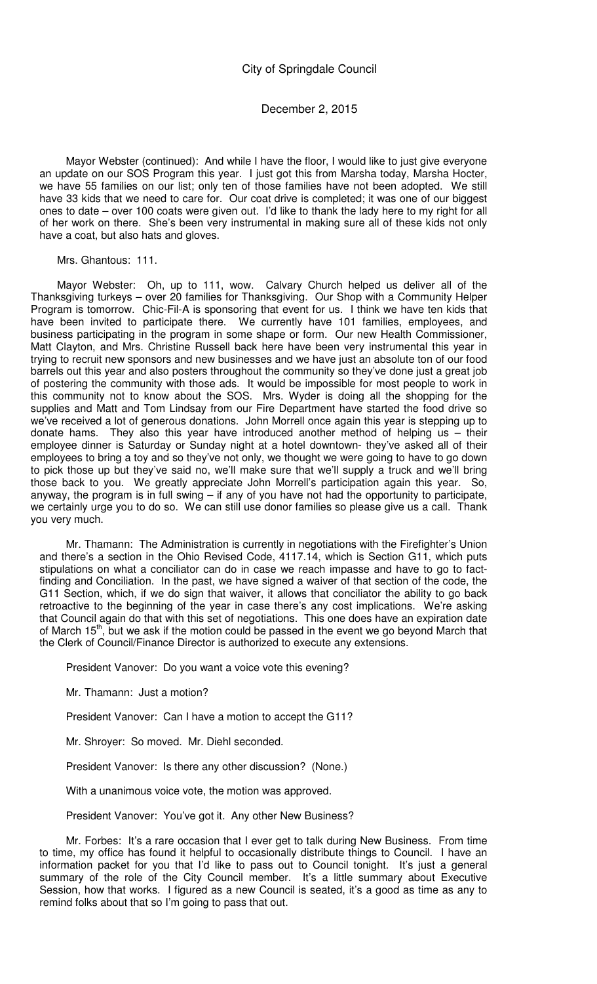Mayor Webster (continued): And while I have the floor, I would like to just give everyone an update on our SOS Program this year. I just got this from Marsha today, Marsha Hocter, we have 55 families on our list; only ten of those families have not been adopted. We still have 33 kids that we need to care for. Our coat drive is completed; it was one of our biggest ones to date – over 100 coats were given out. I'd like to thank the lady here to my right for all of her work on there. She's been very instrumental in making sure all of these kids not only have a coat, but also hats and gloves.

Mrs. Ghantous: 111.

Mayor Webster: Oh, up to 111, wow. Calvary Church helped us deliver all of the Thanksgiving turkeys – over 20 families for Thanksgiving. Our Shop with a Community Helper Program is tomorrow. Chic-Fil-A is sponsoring that event for us. I think we have ten kids that have been invited to participate there. We currently have 101 families, employees, and business participating in the program in some shape or form. Our new Health Commissioner, Matt Clayton, and Mrs. Christine Russell back here have been very instrumental this year in trying to recruit new sponsors and new businesses and we have just an absolute ton of our food barrels out this year and also posters throughout the community so they've done just a great job of postering the community with those ads. It would be impossible for most people to work in this community not to know about the SOS. Mrs. Wyder is doing all the shopping for the supplies and Matt and Tom Lindsay from our Fire Department have started the food drive so we've received a lot of generous donations. John Morrell once again this year is stepping up to donate hams. They also this year have introduced another method of helping us – their employee dinner is Saturday or Sunday night at a hotel downtown- they've asked all of their employees to bring a toy and so they've not only, we thought we were going to have to go down to pick those up but they've said no, we'll make sure that we'll supply a truck and we'll bring those back to you. We greatly appreciate John Morrell's participation again this year. So, anyway, the program is in full swing – if any of you have not had the opportunity to participate, we certainly urge you to do so. We can still use donor families so please give us a call. Thank you very much.

Mr. Thamann: The Administration is currently in negotiations with the Firefighter's Union and there's a section in the Ohio Revised Code, 4117.14, which is Section G11, which puts stipulations on what a conciliator can do in case we reach impasse and have to go to factfinding and Conciliation. In the past, we have signed a waiver of that section of the code, the G11 Section, which, if we do sign that waiver, it allows that conciliator the ability to go back retroactive to the beginning of the year in case there's any cost implications. We're asking that Council again do that with this set of negotiations. This one does have an expiration date of March 15<sup>th</sup>, but we ask if the motion could be passed in the event we go beyond March that the Clerk of Council/Finance Director is authorized to execute any extensions.

President Vanover: Do you want a voice vote this evening?

Mr. Thamann: Just a motion?

President Vanover: Can I have a motion to accept the G11?

Mr. Shroyer: So moved. Mr. Diehl seconded.

President Vanover: Is there any other discussion? (None.)

With a unanimous voice vote, the motion was approved.

President Vanover: You've got it. Any other New Business?

Mr. Forbes: It's a rare occasion that I ever get to talk during New Business. From time to time, my office has found it helpful to occasionally distribute things to Council. I have an information packet for you that I'd like to pass out to Council tonight. It's just a general summary of the role of the City Council member. It's a little summary about Executive Session, how that works. I figured as a new Council is seated, it's a good as time as any to remind folks about that so I'm going to pass that out.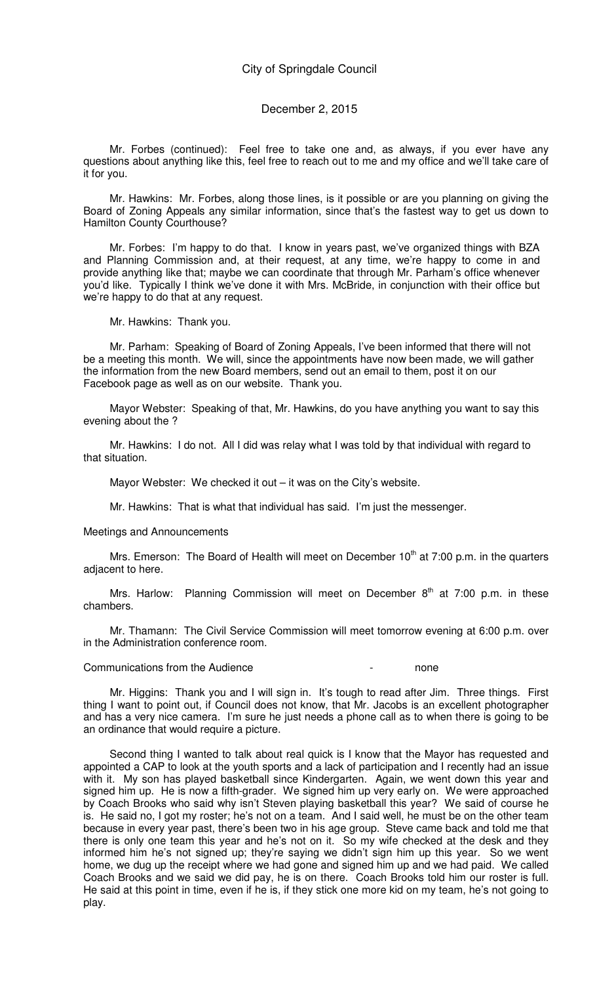### December 2, 2015

Mr. Forbes (continued): Feel free to take one and, as always, if you ever have any questions about anything like this, feel free to reach out to me and my office and we'll take care of it for you.

Mr. Hawkins: Mr. Forbes, along those lines, is it possible or are you planning on giving the Board of Zoning Appeals any similar information, since that's the fastest way to get us down to Hamilton County Courthouse?

Mr. Forbes: I'm happy to do that. I know in years past, we've organized things with BZA and Planning Commission and, at their request, at any time, we're happy to come in and provide anything like that; maybe we can coordinate that through Mr. Parham's office whenever you'd like. Typically I think we've done it with Mrs. McBride, in conjunction with their office but we're happy to do that at any request.

Mr. Hawkins: Thank you.

Mr. Parham: Speaking of Board of Zoning Appeals, I've been informed that there will not be a meeting this month. We will, since the appointments have now been made, we will gather the information from the new Board members, send out an email to them, post it on our Facebook page as well as on our website. Thank you.

Mayor Webster: Speaking of that, Mr. Hawkins, do you have anything you want to say this evening about the ?

Mr. Hawkins: I do not. All I did was relay what I was told by that individual with regard to that situation.

Mayor Webster: We checked it out – it was on the City's website.

Mr. Hawkins: That is what that individual has said. I'm just the messenger.

Meetings and Announcements

Mrs. Emerson: The Board of Health will meet on December  $10<sup>th</sup>$  at 7:00 p.m. in the quarters adjacent to here.

Mrs. Harlow: Planning Commission will meet on December  $8<sup>th</sup>$  at 7:00 p.m. in these chambers.

Mr. Thamann: The Civil Service Commission will meet tomorrow evening at 6:00 p.m. over in the Administration conference room.

Communications from the Audience **Figure 2** Figure 2 and  $\overline{a}$  communications from the Audience

Mr. Higgins: Thank you and I will sign in. It's tough to read after Jim. Three things. First thing I want to point out, if Council does not know, that Mr. Jacobs is an excellent photographer and has a very nice camera. I'm sure he just needs a phone call as to when there is going to be an ordinance that would require a picture.

Second thing I wanted to talk about real quick is I know that the Mayor has requested and appointed a CAP to look at the youth sports and a lack of participation and I recently had an issue with it. My son has played basketball since Kindergarten. Again, we went down this year and signed him up. He is now a fifth-grader. We signed him up very early on. We were approached by Coach Brooks who said why isn't Steven playing basketball this year? We said of course he is. He said no, I got my roster; he's not on a team. And I said well, he must be on the other team because in every year past, there's been two in his age group. Steve came back and told me that there is only one team this year and he's not on it. So my wife checked at the desk and they informed him he's not signed up; they're saying we didn't sign him up this year. So we went home, we dug up the receipt where we had gone and signed him up and we had paid. We called Coach Brooks and we said we did pay, he is on there. Coach Brooks told him our roster is full. He said at this point in time, even if he is, if they stick one more kid on my team, he's not going to play.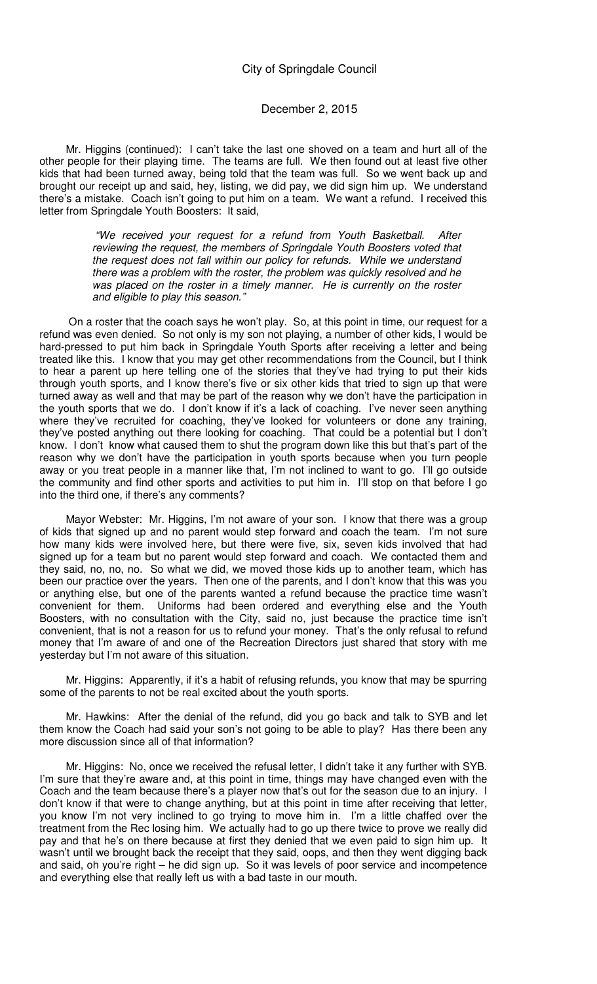### December 2, 2015

Mr. Higgins (continued): I can't take the last one shoved on a team and hurt all of the other people for their playing time. The teams are full. We then found out at least five other kids that had been turned away, being told that the team was full. So we went back up and brought our receipt up and said, hey, listing, we did pay, we did sign him up. We understand there's a mistake. Coach isn't going to put him on a team. We want a refund. I received this letter from Springdale Youth Boosters: It said,

> "We received your request for a refund from Youth Basketball. After reviewing the request, the members of Springdale Youth Boosters voted that the request does not fall within our policy for refunds. While we understand there was a problem with the roster, the problem was quickly resolved and he was placed on the roster in a timely manner. He is currently on the roster and eligible to play this season."

 On a roster that the coach says he won't play. So, at this point in time, our request for a refund was even denied. So not only is my son not playing, a number of other kids, I would be hard-pressed to put him back in Springdale Youth Sports after receiving a letter and being treated like this. I know that you may get other recommendations from the Council, but I think to hear a parent up here telling one of the stories that they've had trying to put their kids through youth sports, and I know there's five or six other kids that tried to sign up that were turned away as well and that may be part of the reason why we don't have the participation in the youth sports that we do. I don't know if it's a lack of coaching. I've never seen anything where they've recruited for coaching, they've looked for volunteers or done any training, they've posted anything out there looking for coaching. That could be a potential but I don't know. I don't know what caused them to shut the program down like this but that's part of the reason why we don't have the participation in youth sports because when you turn people away or you treat people in a manner like that, I'm not inclined to want to go. I'll go outside the community and find other sports and activities to put him in. I'll stop on that before I go into the third one, if there's any comments?

Mayor Webster: Mr. Higgins, I'm not aware of your son. I know that there was a group of kids that signed up and no parent would step forward and coach the team. I'm not sure how many kids were involved here, but there were five, six, seven kids involved that had signed up for a team but no parent would step forward and coach. We contacted them and they said, no, no, no. So what we did, we moved those kids up to another team, which has been our practice over the years. Then one of the parents, and I don't know that this was you or anything else, but one of the parents wanted a refund because the practice time wasn't convenient for them. Uniforms had been ordered and everything else and the Youth Boosters, with no consultation with the City, said no, just because the practice time isn't convenient, that is not a reason for us to refund your money. That's the only refusal to refund money that I'm aware of and one of the Recreation Directors just shared that story with me yesterday but I'm not aware of this situation.

Mr. Higgins: Apparently, if it's a habit of refusing refunds, you know that may be spurring some of the parents to not be real excited about the youth sports.

Mr. Hawkins: After the denial of the refund, did you go back and talk to SYB and let them know the Coach had said your son's not going to be able to play? Has there been any more discussion since all of that information?

Mr. Higgins: No, once we received the refusal letter, I didn't take it any further with SYB. I'm sure that they're aware and, at this point in time, things may have changed even with the Coach and the team because there's a player now that's out for the season due to an injury. I don't know if that were to change anything, but at this point in time after receiving that letter, you know I'm not very inclined to go trying to move him in. I'm a little chaffed over the treatment from the Rec losing him. We actually had to go up there twice to prove we really did pay and that he's on there because at first they denied that we even paid to sign him up. It wasn't until we brought back the receipt that they said, oops, and then they went digging back and said, oh you're right – he did sign up. So it was levels of poor service and incompetence and everything else that really left us with a bad taste in our mouth.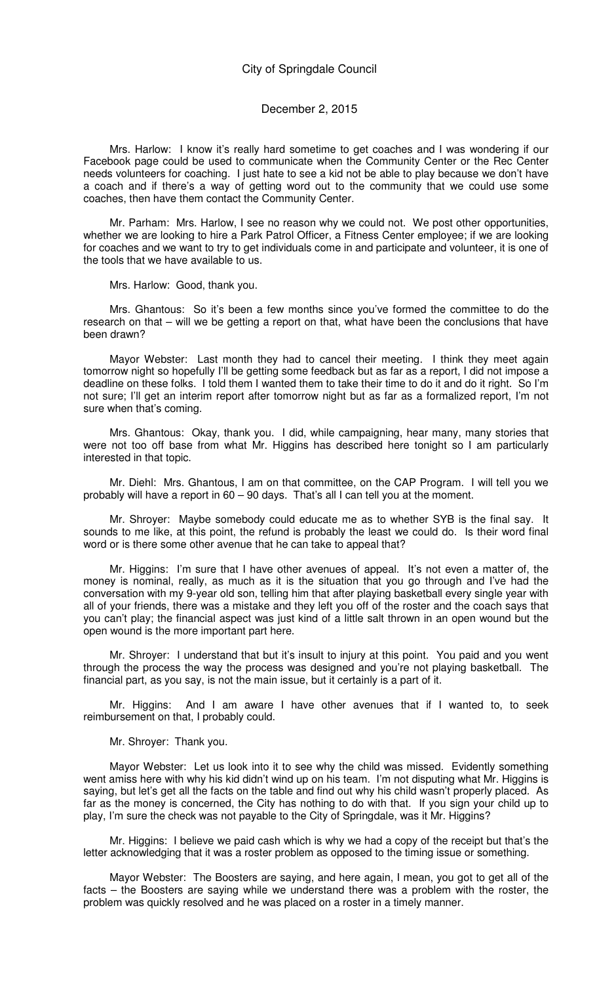#### December 2, 2015

Mrs. Harlow: I know it's really hard sometime to get coaches and I was wondering if our Facebook page could be used to communicate when the Community Center or the Rec Center needs volunteers for coaching. I just hate to see a kid not be able to play because we don't have a coach and if there's a way of getting word out to the community that we could use some coaches, then have them contact the Community Center.

Mr. Parham: Mrs. Harlow, I see no reason why we could not. We post other opportunities, whether we are looking to hire a Park Patrol Officer, a Fitness Center employee; if we are looking for coaches and we want to try to get individuals come in and participate and volunteer, it is one of the tools that we have available to us.

Mrs. Harlow: Good, thank you.

Mrs. Ghantous: So it's been a few months since you've formed the committee to do the research on that – will we be getting a report on that, what have been the conclusions that have been drawn?

Mayor Webster: Last month they had to cancel their meeting. I think they meet again tomorrow night so hopefully I'll be getting some feedback but as far as a report, I did not impose a deadline on these folks. I told them I wanted them to take their time to do it and do it right. So I'm not sure; I'll get an interim report after tomorrow night but as far as a formalized report, I'm not sure when that's coming.

Mrs. Ghantous: Okay, thank you. I did, while campaigning, hear many, many stories that were not too off base from what Mr. Higgins has described here tonight so I am particularly interested in that topic.

Mr. Diehl: Mrs. Ghantous, I am on that committee, on the CAP Program. I will tell you we probably will have a report in 60 – 90 days. That's all I can tell you at the moment.

Mr. Shroyer: Maybe somebody could educate me as to whether SYB is the final say. It sounds to me like, at this point, the refund is probably the least we could do. Is their word final word or is there some other avenue that he can take to appeal that?

Mr. Higgins: I'm sure that I have other avenues of appeal. It's not even a matter of, the money is nominal, really, as much as it is the situation that you go through and I've had the conversation with my 9-year old son, telling him that after playing basketball every single year with all of your friends, there was a mistake and they left you off of the roster and the coach says that you can't play; the financial aspect was just kind of a little salt thrown in an open wound but the open wound is the more important part here.

Mr. Shroyer: I understand that but it's insult to injury at this point. You paid and you went through the process the way the process was designed and you're not playing basketball. The financial part, as you say, is not the main issue, but it certainly is a part of it.

Mr. Higgins: And I am aware I have other avenues that if I wanted to, to seek reimbursement on that, I probably could.

Mr. Shroyer: Thank you.

Mayor Webster: Let us look into it to see why the child was missed. Evidently something went amiss here with why his kid didn't wind up on his team. I'm not disputing what Mr. Higgins is saying, but let's get all the facts on the table and find out why his child wasn't properly placed. As far as the money is concerned, the City has nothing to do with that. If you sign your child up to play, I'm sure the check was not payable to the City of Springdale, was it Mr. Higgins?

Mr. Higgins: I believe we paid cash which is why we had a copy of the receipt but that's the letter acknowledging that it was a roster problem as opposed to the timing issue or something.

Mayor Webster: The Boosters are saying, and here again, I mean, you got to get all of the facts – the Boosters are saying while we understand there was a problem with the roster, the problem was quickly resolved and he was placed on a roster in a timely manner.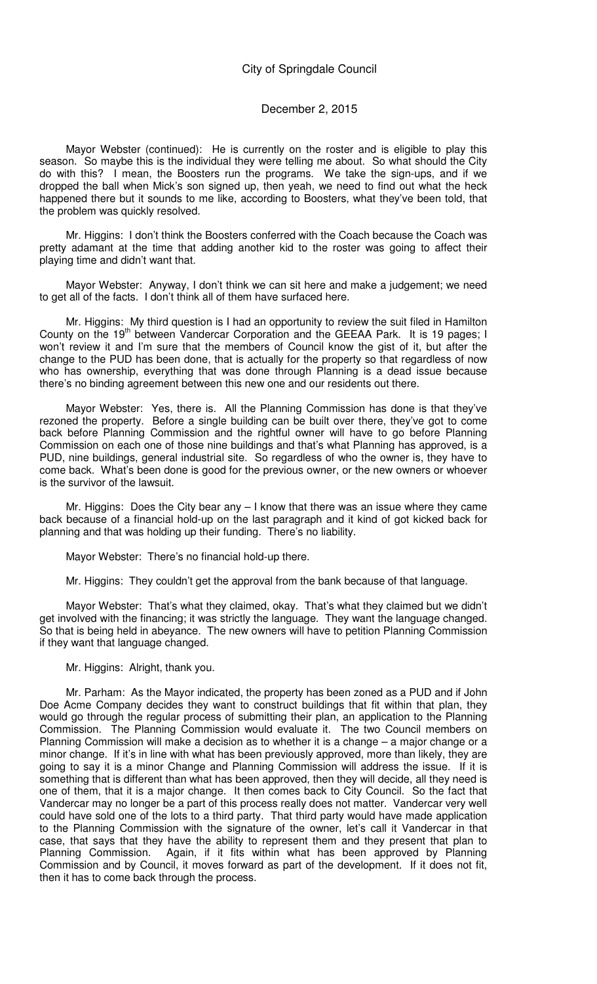### December 2, 2015

Mayor Webster (continued): He is currently on the roster and is eligible to play this season. So maybe this is the individual they were telling me about. So what should the City do with this? I mean, the Boosters run the programs. We take the sign-ups, and if we dropped the ball when Mick's son signed up, then yeah, we need to find out what the heck happened there but it sounds to me like, according to Boosters, what they've been told, that the problem was quickly resolved.

Mr. Higgins: I don't think the Boosters conferred with the Coach because the Coach was pretty adamant at the time that adding another kid to the roster was going to affect their playing time and didn't want that.

Mayor Webster: Anyway, I don't think we can sit here and make a judgement; we need to get all of the facts. I don't think all of them have surfaced here.

Mr. Higgins: My third question is I had an opportunity to review the suit filed in Hamilton County on the 19<sup>th</sup> between Vandercar Corporation and the GEEAA Park. It is 19 pages; I won't review it and I'm sure that the members of Council know the gist of it, but after the change to the PUD has been done, that is actually for the property so that regardless of now who has ownership, everything that was done through Planning is a dead issue because there's no binding agreement between this new one and our residents out there.

Mayor Webster: Yes, there is. All the Planning Commission has done is that they've rezoned the property. Before a single building can be built over there, they've got to come back before Planning Commission and the rightful owner will have to go before Planning Commission on each one of those nine buildings and that's what Planning has approved, is a PUD, nine buildings, general industrial site. So regardless of who the owner is, they have to come back. What's been done is good for the previous owner, or the new owners or whoever is the survivor of the lawsuit.

Mr. Higgins: Does the City bear any – I know that there was an issue where they came back because of a financial hold-up on the last paragraph and it kind of got kicked back for planning and that was holding up their funding. There's no liability.

Mayor Webster: There's no financial hold-up there.

Mr. Higgins: They couldn't get the approval from the bank because of that language.

Mayor Webster: That's what they claimed, okay. That's what they claimed but we didn't get involved with the financing; it was strictly the language. They want the language changed. So that is being held in abeyance. The new owners will have to petition Planning Commission if they want that language changed.

Mr. Higgins: Alright, thank you.

Mr. Parham: As the Mayor indicated, the property has been zoned as a PUD and if John Doe Acme Company decides they want to construct buildings that fit within that plan, they would go through the regular process of submitting their plan, an application to the Planning Commission. The Planning Commission would evaluate it. The two Council members on Planning Commission will make a decision as to whether it is a change – a major change or a minor change. If it's in line with what has been previously approved, more than likely, they are going to say it is a minor Change and Planning Commission will address the issue. If it is something that is different than what has been approved, then they will decide, all they need is one of them, that it is a major change. It then comes back to City Council. So the fact that Vandercar may no longer be a part of this process really does not matter. Vandercar very well could have sold one of the lots to a third party. That third party would have made application to the Planning Commission with the signature of the owner, let's call it Vandercar in that case, that says that they have the ability to represent them and they present that plan to Planning Commission. Again, if it fits within what has been approved by Planning Commission and by Council, it moves forward as part of the development. If it does not fit, then it has to come back through the process.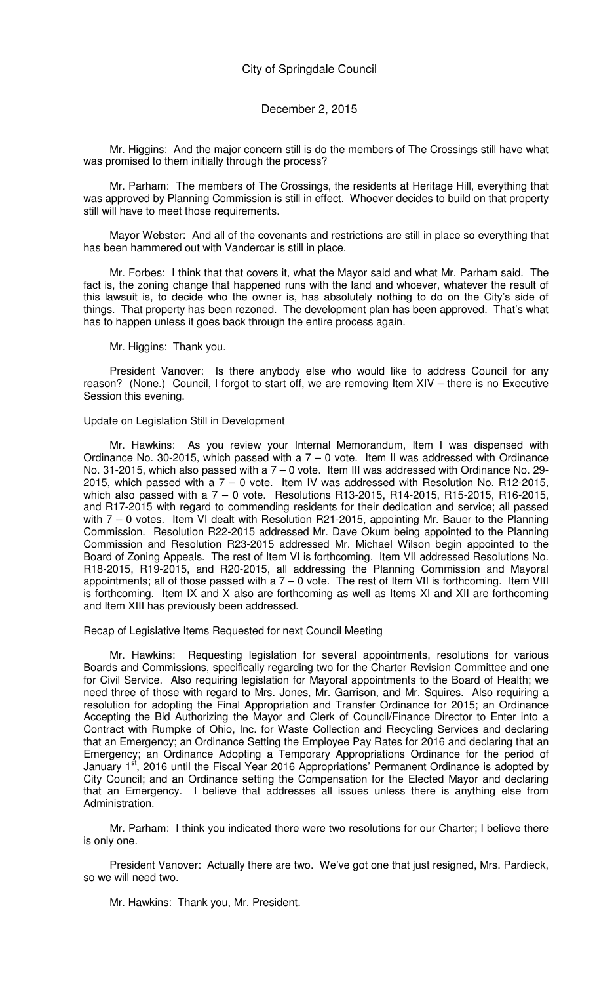Mr. Higgins: And the major concern still is do the members of The Crossings still have what was promised to them initially through the process?

Mr. Parham: The members of The Crossings, the residents at Heritage Hill, everything that was approved by Planning Commission is still in effect. Whoever decides to build on that property still will have to meet those requirements.

Mayor Webster: And all of the covenants and restrictions are still in place so everything that has been hammered out with Vandercar is still in place.

Mr. Forbes: I think that that covers it, what the Mayor said and what Mr. Parham said. The fact is, the zoning change that happened runs with the land and whoever, whatever the result of this lawsuit is, to decide who the owner is, has absolutely nothing to do on the City's side of things. That property has been rezoned. The development plan has been approved. That's what has to happen unless it goes back through the entire process again.

Mr. Higgins: Thank you.

President Vanover: Is there anybody else who would like to address Council for any reason? (None.) Council, I forgot to start off, we are removing Item XIV – there is no Executive Session this evening.

#### Update on Legislation Still in Development

Mr. Hawkins: As you review your Internal Memorandum, Item I was dispensed with Ordinance No. 30-2015, which passed with a  $7 - 0$  vote. Item II was addressed with Ordinance No. 31-2015, which also passed with a 7 – 0 vote. Item III was addressed with Ordinance No. 29- 2015, which passed with a 7 – 0 vote. Item IV was addressed with Resolution No. R12-2015, which also passed with a 7 – 0 vote. Resolutions R13-2015, R14-2015, R15-2015, R16-2015, and R17-2015 with regard to commending residents for their dedication and service; all passed with 7 – 0 votes. Item VI dealt with Resolution R21-2015, appointing Mr. Bauer to the Planning Commission. Resolution R22-2015 addressed Mr. Dave Okum being appointed to the Planning Commission and Resolution R23-2015 addressed Mr. Michael Wilson begin appointed to the Board of Zoning Appeals. The rest of Item VI is forthcoming. Item VII addressed Resolutions No. R18-2015, R19-2015, and R20-2015, all addressing the Planning Commission and Mayoral appointments; all of those passed with a  $7 - 0$  vote. The rest of Item VII is forthcoming. Item VIII is forthcoming. Item IX and X also are forthcoming as well as Items XI and XII are forthcoming and Item XIII has previously been addressed.

Recap of Legislative Items Requested for next Council Meeting

Mr. Hawkins: Requesting legislation for several appointments, resolutions for various Boards and Commissions, specifically regarding two for the Charter Revision Committee and one for Civil Service. Also requiring legislation for Mayoral appointments to the Board of Health; we need three of those with regard to Mrs. Jones, Mr. Garrison, and Mr. Squires. Also requiring a resolution for adopting the Final Appropriation and Transfer Ordinance for 2015; an Ordinance Accepting the Bid Authorizing the Mayor and Clerk of Council/Finance Director to Enter into a Contract with Rumpke of Ohio, Inc. for Waste Collection and Recycling Services and declaring that an Emergency; an Ordinance Setting the Employee Pay Rates for 2016 and declaring that an Emergency; an Ordinance Adopting a Temporary Appropriations Ordinance for the period of January 1<sup>st</sup>, 2016 until the Fiscal Year 2016 Appropriations' Permanent Ordinance is adopted by City Council; and an Ordinance setting the Compensation for the Elected Mayor and declaring that an Emergency. I believe that addresses all issues unless there is anything else from Administration.

Mr. Parham: I think you indicated there were two resolutions for our Charter; I believe there is only one.

President Vanover: Actually there are two. We've got one that just resigned, Mrs. Pardieck, so we will need two.

Mr. Hawkins: Thank you, Mr. President.